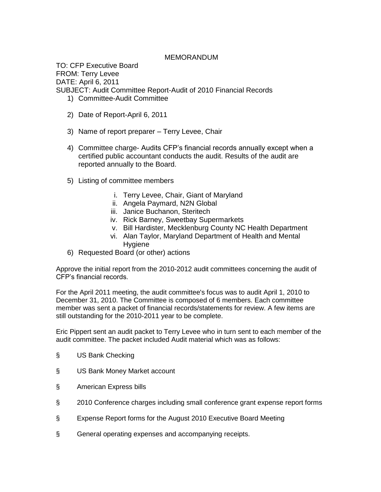## MEMORANDUM

TO: CFP Executive Board FROM: Terry Levee DATE: April 6, 2011 SUBJECT: Audit Committee Report-Audit of 2010 Financial Records 1) Committee-Audit Committee

- 2) Date of Report-April 6, 2011
- 3) Name of report preparer Terry Levee, Chair
- 4) Committee charge- Audits CFP's financial records annually except when a certified public accountant conducts the audit. Results of the audit are reported annually to the Board.
- 5) Listing of committee members
	- i. Terry Levee, Chair, Giant of Maryland
	- ii. Angela Paymard, N2N Global
	- iii. Janice Buchanon, Steritech
	- iv. Rick Barney, Sweetbay Supermarkets
	- v. Bill Hardister, Mecklenburg County NC Health Department
	- vi. Alan Taylor, Maryland Department of Health and Mental Hygiene
- 6) Requested Board (or other) actions

Approve the initial report from the 2010-2012 audit committees concerning the audit of CFP's financial records.

For the April 2011 meeting, the audit committee's focus was to audit April 1, 2010 to December 31, 2010. The Committee is composed of 6 members. Each committee member was sent a packet of financial records/statements for review. A few items are still outstanding for the 2010-2011 year to be complete.

Eric Pippert sent an audit packet to Terry Levee who in turn sent to each member of the audit committee. The packet included Audit material which was as follows:

- § US Bank Checking
- § US Bank Money Market account
- § American Express bills
- § 2010 Conference charges including small conference grant expense report forms
- § Expense Report forms for the August 2010 Executive Board Meeting
- § General operating expenses and accompanying receipts.